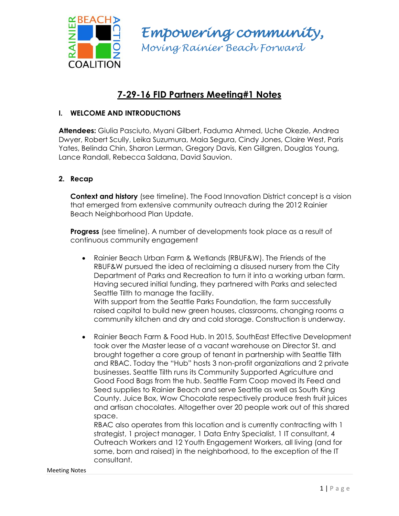

*Empowering community, Moving Rainier Beach Forward*

# **7-29-16 FID Partners Meeting#1 Notes**

## **I. WELCOME AND INTRODUCTIONS**

**Attendees:** Giulia Pasciuto, Myani Gilbert, Faduma Ahmed, Uche Okezie, Andrea Dwyer, Robert Scully, Leika Suzumura, Maia Segura, Cindy Jones, Claire West, Paris Yates, Belinda Chin, Sharon Lerman, Gregory Davis, Ken Gillgren, Douglas Young, Lance Randall, Rebecca Saldana, David Sauvion.

## **2. Recap**

**Context and history** (see timeline). The Food Innovation District concept is a vision that emerged from extensive community outreach during the 2012 Rainier Beach Neighborhood Plan Update.

**Progress** (see timeline). A number of developments took place as a result of continuous community engagement

 Rainier Beach Urban Farm & Wetlands (RBUF&W). The Friends of the RBUF&W pursued the idea of reclaiming a disused nursery from the City Department of Parks and Recreation to turn it into a working urban farm. Having secured initial funding, they partnered with Parks and selected Seattle Tilth to manage the facility. With support from the Seattle Parks Foundation, the farm successfully

raised capital to build new green houses, classrooms, changing rooms a community kitchen and dry and cold storage. Construction is underway.

 Rainier Beach Farm & Food Hub. In 2015, SouthEast Effective Development took over the Master lease of a vacant warehouse on Director St. and brought together a core group of tenant in partnership with Seattle Tilth and RBAC. Today the "Hub" hosts 3 non-profit organizations and 2 private businesses. Seattle Tilth runs its Community Supported Agriculture and Good Food Bags from the hub. Seattle Farm Coop moved its Feed and Seed supplies to Rainier Beach and serve Seattle as well as South King County. Juice Box, Wow Chocolate respectively produce fresh fruit juices and artisan chocolates. Altogether over 20 people work out of this shared space.

RBAC also operates from this location and is currently contracting with 1 strategist, 1 project manager, 1 Data Entry Specialist, 1 IT consultant, 4 Outreach Workers and 12 Youth Engagement Workers, all living (and for some, born and raised) in the neighborhood, to the exception of the IT consultant.